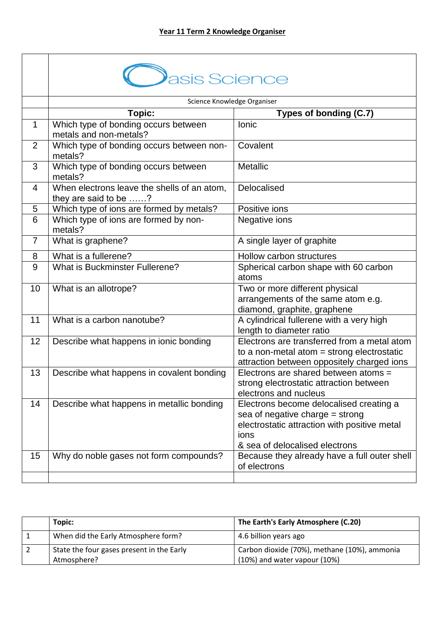|                | asis Science                                                         |                                                                                                                                                                        |
|----------------|----------------------------------------------------------------------|------------------------------------------------------------------------------------------------------------------------------------------------------------------------|
|                |                                                                      | Science Knowledge Organiser                                                                                                                                            |
|                | Topic:                                                               | Types of bonding (C.7)                                                                                                                                                 |
| $\mathbf 1$    | Which type of bonding occurs between<br>metals and non-metals?       | Ionic                                                                                                                                                                  |
| 2              | Which type of bonding occurs between non-<br>metals?                 | Covalent                                                                                                                                                               |
| 3              | Which type of bonding occurs between<br>metals?                      | <b>Metallic</b>                                                                                                                                                        |
| 4              | When electrons leave the shells of an atom,<br>they are said to be ? | Delocalised                                                                                                                                                            |
| 5              | Which type of ions are formed by metals?                             | Positive ions                                                                                                                                                          |
| 6              | Which type of ions are formed by non-<br>metals?                     | Negative ions                                                                                                                                                          |
| $\overline{7}$ | What is graphene?                                                    | A single layer of graphite                                                                                                                                             |
| 8              | What is a fullerene?                                                 | Hollow carbon structures                                                                                                                                               |
| 9              | <b>What is Buckminster Fullerene?</b>                                | Spherical carbon shape with 60 carbon<br>atoms                                                                                                                         |
| 10             | What is an allotrope?                                                | Two or more different physical<br>arrangements of the same atom e.g.<br>diamond, graphite, graphene                                                                    |
| 11             | What is a carbon nanotube?                                           | A cylindrical fullerene with a very high<br>length to diameter ratio                                                                                                   |
| 12             | Describe what happens in ionic bonding                               | Electrons are transferred from a metal atom<br>to a non-metal atom $=$ strong electrostatic<br>attraction between oppositely charged ions                              |
| 13             | Describe what happens in covalent bonding                            | Electrons are shared between atoms =<br>strong electrostatic attraction between<br>electrons and nucleus                                                               |
| 14             | Describe what happens in metallic bonding                            | Electrons become delocalised creating a<br>sea of negative charge $=$ strong<br>electrostatic attraction with positive metal<br>ions<br>& sea of delocalised electrons |
| 15             | Why do noble gases not form compounds?                               | Because they already have a full outer shell<br>of electrons                                                                                                           |

| Topic:                                    | The Earth's Early Atmosphere (C.20)          |
|-------------------------------------------|----------------------------------------------|
| When did the Early Atmosphere form?       | 4.6 billion years ago                        |
| State the four gases present in the Early | Carbon dioxide (70%), methane (10%), ammonia |
| Atmosphere?                               | $(10\%)$ and water vapour $(10\%)$           |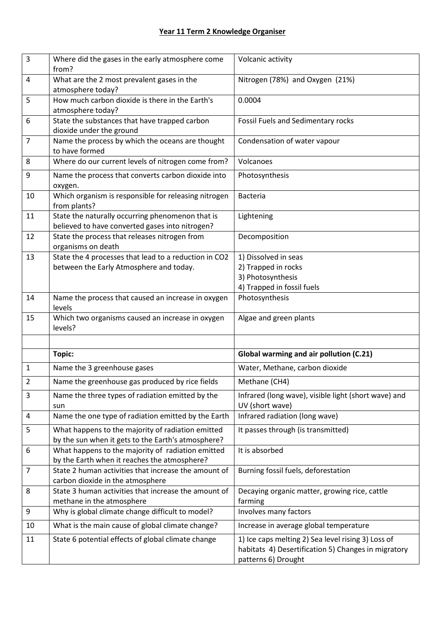| $\overline{3}$ | Where did the gases in the early atmosphere come<br>from?                                               | Volcanic activity                                                                                                                |
|----------------|---------------------------------------------------------------------------------------------------------|----------------------------------------------------------------------------------------------------------------------------------|
| 4              | What are the 2 most prevalent gases in the                                                              | Nitrogen (78%) and Oxygen (21%)                                                                                                  |
|                | atmosphere today?                                                                                       |                                                                                                                                  |
| 5              | How much carbon dioxide is there in the Earth's<br>atmosphere today?                                    | 0.0004                                                                                                                           |
| 6              | State the substances that have trapped carbon<br>dioxide under the ground                               | <b>Fossil Fuels and Sedimentary rocks</b>                                                                                        |
| $\overline{7}$ | Name the process by which the oceans are thought<br>to have formed                                      | Condensation of water vapour                                                                                                     |
| 8              | Where do our current levels of nitrogen come from?                                                      | Volcanoes                                                                                                                        |
| 9              | Name the process that converts carbon dioxide into<br>oxygen.                                           | Photosynthesis                                                                                                                   |
| 10             | Which organism is responsible for releasing nitrogen<br>from plants?                                    | <b>Bacteria</b>                                                                                                                  |
| 11             | State the naturally occurring phenomenon that is<br>believed to have converted gases into nitrogen?     | Lightening                                                                                                                       |
| 12             | State the process that releases nitrogen from<br>organisms on death                                     | Decomposition                                                                                                                    |
| 13             | State the 4 processes that lead to a reduction in CO2<br>between the Early Atmosphere and today.        | 1) Dissolved in seas<br>2) Trapped in rocks                                                                                      |
|                |                                                                                                         | 3) Photosynthesis                                                                                                                |
|                |                                                                                                         | 4) Trapped in fossil fuels                                                                                                       |
| 14             | Name the process that caused an increase in oxygen                                                      | Photosynthesis                                                                                                                   |
|                | levels                                                                                                  |                                                                                                                                  |
| 15             | Which two organisms caused an increase in oxygen<br>levels?                                             | Algae and green plants                                                                                                           |
|                |                                                                                                         |                                                                                                                                  |
|                | Topic:                                                                                                  | Global warming and air pollution (C.21)                                                                                          |
| $\mathbf{1}$   | Name the 3 greenhouse gases                                                                             | Water, Methane, carbon dioxide                                                                                                   |
| $\overline{2}$ | Name the greenhouse gas produced by rice fields                                                         | Methane (CH4)                                                                                                                    |
| 3              | Name the three types of radiation emitted by the<br>sun                                                 | Infrared (long wave), visible light (short wave) and<br>UV (short wave)                                                          |
| 4              | Name the one type of radiation emitted by the Earth                                                     | Infrared radiation (long wave)                                                                                                   |
| 5              | What happens to the majority of radiation emitted<br>by the sun when it gets to the Earth's atmosphere? | It passes through (is transmitted)                                                                                               |
| 6              | What happens to the majority of radiation emitted<br>by the Earth when it reaches the atmosphere?       | It is absorbed                                                                                                                   |
| $\overline{7}$ | State 2 human activities that increase the amount of<br>carbon dioxide in the atmosphere                | Burning fossil fuels, deforestation                                                                                              |
| 8              | State 3 human activities that increase the amount of<br>methane in the atmosphere                       | Decaying organic matter, growing rice, cattle<br>farming                                                                         |
| 9              | Why is global climate change difficult to model?                                                        | Involves many factors                                                                                                            |
| 10             | What is the main cause of global climate change?                                                        | Increase in average global temperature                                                                                           |
| 11             | State 6 potential effects of global climate change                                                      | 1) Ice caps melting 2) Sea level rising 3) Loss of<br>habitats 4) Desertification 5) Changes in migratory<br>patterns 6) Drought |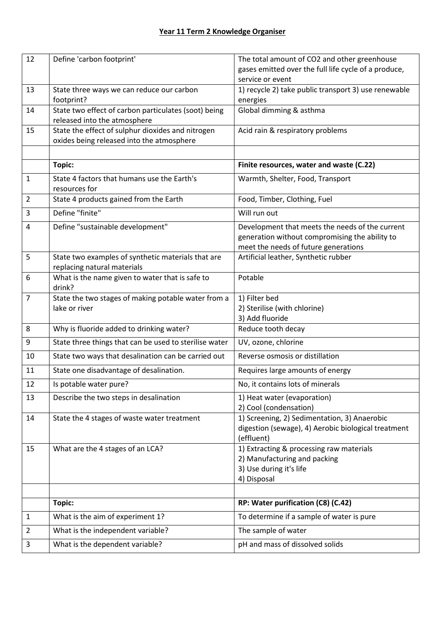| 12             | Define 'carbon footprint'                              | The total amount of CO2 and other greenhouse         |
|----------------|--------------------------------------------------------|------------------------------------------------------|
|                |                                                        | gases emitted over the full life cycle of a produce, |
|                |                                                        | service or event                                     |
| 13             | State three ways we can reduce our carbon              | 1) recycle 2) take public transport 3) use renewable |
|                | footprint?                                             | energies                                             |
| 14             | State two effect of carbon particulates (soot) being   | Global dimming & asthma                              |
|                | released into the atmosphere                           |                                                      |
| 15             | State the effect of sulphur dioxides and nitrogen      | Acid rain & respiratory problems                     |
|                | oxides being released into the atmosphere              |                                                      |
|                |                                                        |                                                      |
|                |                                                        |                                                      |
|                | <b>Topic:</b>                                          | Finite resources, water and waste (C.22)             |
| $\mathbf{1}$   | State 4 factors that humans use the Earth's            | Warmth, Shelter, Food, Transport                     |
|                | resources for                                          |                                                      |
| 2              | State 4 products gained from the Earth                 | Food, Timber, Clothing, Fuel                         |
| 3              | Define "finite"                                        | Will run out                                         |
| 4              | Define "sustainable development"                       | Development that meets the needs of the current      |
|                |                                                        | generation without compromising the ability to       |
|                |                                                        | meet the needs of future generations                 |
| 5              | State two examples of synthetic materials that are     | Artificial leather, Synthetic rubber                 |
|                | replacing natural materials                            |                                                      |
| 6              | What is the name given to water that is safe to        | Potable                                              |
|                | drink?                                                 |                                                      |
| $\overline{7}$ | State the two stages of making potable water from a    | 1) Filter bed                                        |
|                | lake or river                                          | 2) Sterilise (with chlorine)                         |
|                |                                                        | 3) Add fluoride                                      |
| 8              | Why is fluoride added to drinking water?               | Reduce tooth decay                                   |
| 9              | State three things that can be used to sterilise water | UV, ozone, chlorine                                  |
| 10             | State two ways that desalination can be carried out    | Reverse osmosis or distillation                      |
| 11             | State one disadvantage of desalination.                | Requires large amounts of energy                     |
| 12             | Is potable water pure?                                 | No, it contains lots of minerals                     |
| 13             | Describe the two steps in desalination                 | 1) Heat water (evaporation)                          |
|                |                                                        | 2) Cool (condensation)                               |
| 14             | State the 4 stages of waste water treatment            | 1) Screening, 2) Sedimentation, 3) Anaerobic         |
|                |                                                        | digestion (sewage), 4) Aerobic biological treatment  |
|                |                                                        | (effluent)                                           |
| 15             | What are the 4 stages of an LCA?                       | 1) Extracting & processing raw materials             |
|                |                                                        | 2) Manufacturing and packing                         |
|                |                                                        | 3) Use during it's life                              |
|                |                                                        | 4) Disposal                                          |
|                |                                                        |                                                      |
|                | <b>Topic:</b>                                          | RP: Water purification (C8) (C.42)                   |
| 1              | What is the aim of experiment 1?                       | To determine if a sample of water is pure            |
| 2              | What is the independent variable?                      | The sample of water                                  |
| 3              | What is the dependent variable?                        | pH and mass of dissolved solids                      |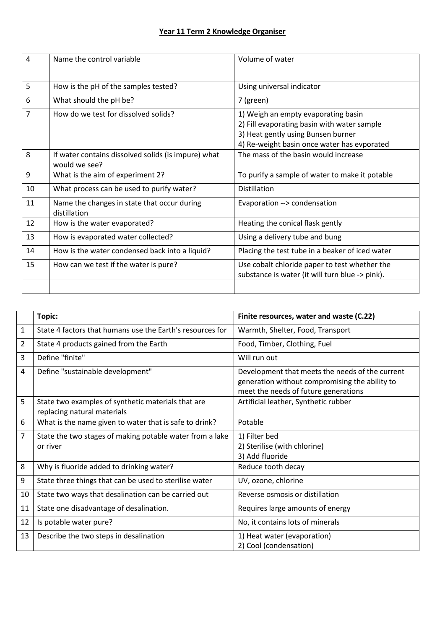| $\overline{4}$ | Name the control variable                                            | Volume of water                                                                                                                                                         |
|----------------|----------------------------------------------------------------------|-------------------------------------------------------------------------------------------------------------------------------------------------------------------------|
| 5              | How is the pH of the samples tested?                                 | Using universal indicator                                                                                                                                               |
| 6              | What should the pH be?                                               | 7 (green)                                                                                                                                                               |
| 7              | How do we test for dissolved solids?                                 | 1) Weigh an empty evaporating basin<br>2) Fill evaporating basin with water sample<br>3) Heat gently using Bunsen burner<br>4) Re-weight basin once water has evporated |
| 8              | If water contains dissolved solids (is impure) what<br>would we see? | The mass of the basin would increase                                                                                                                                    |
| 9              | What is the aim of experiment 2?                                     | To purify a sample of water to make it potable                                                                                                                          |
| 10             | What process can be used to purify water?                            | <b>Distillation</b>                                                                                                                                                     |
| 11             | Name the changes in state that occur during<br>distillation          | Evaporation --> condensation                                                                                                                                            |
| 12             | How is the water evaporated?                                         | Heating the conical flask gently                                                                                                                                        |
| 13             | How is evaporated water collected?                                   | Using a delivery tube and bung                                                                                                                                          |
| 14             | How is the water condensed back into a liquid?                       | Placing the test tube in a beaker of iced water                                                                                                                         |
| 15             | How can we test if the water is pure?                                | Use cobalt chloride paper to test whether the<br>substance is water (it will turn blue -> pink).                                                                        |
|                |                                                                      |                                                                                                                                                                         |

|    | Topic:                                                                            | Finite resources, water and waste (C.22)                                                                                                  |
|----|-----------------------------------------------------------------------------------|-------------------------------------------------------------------------------------------------------------------------------------------|
| 1  | State 4 factors that humans use the Earth's resources for                         | Warmth, Shelter, Food, Transport                                                                                                          |
| 2  | State 4 products gained from the Earth                                            | Food, Timber, Clothing, Fuel                                                                                                              |
| 3  | Define "finite"                                                                   | Will run out                                                                                                                              |
| 4  | Define "sustainable development"                                                  | Development that meets the needs of the current<br>generation without compromising the ability to<br>meet the needs of future generations |
| 5  | State two examples of synthetic materials that are<br>replacing natural materials | Artificial leather, Synthetic rubber                                                                                                      |
| 6  | What is the name given to water that is safe to drink?                            | Potable                                                                                                                                   |
| 7  | State the two stages of making potable water from a lake<br>or river              | 1) Filter bed<br>2) Sterilise (with chlorine)<br>3) Add fluoride                                                                          |
| 8  | Why is fluoride added to drinking water?                                          | Reduce tooth decay                                                                                                                        |
| 9  | State three things that can be used to sterilise water                            | UV, ozone, chlorine                                                                                                                       |
| 10 | State two ways that desalination can be carried out                               | Reverse osmosis or distillation                                                                                                           |
| 11 | State one disadvantage of desalination.                                           | Requires large amounts of energy                                                                                                          |
| 12 | Is potable water pure?                                                            | No, it contains lots of minerals                                                                                                          |
| 13 | Describe the two steps in desalination                                            | 1) Heat water (evaporation)<br>2) Cool (condensation)                                                                                     |